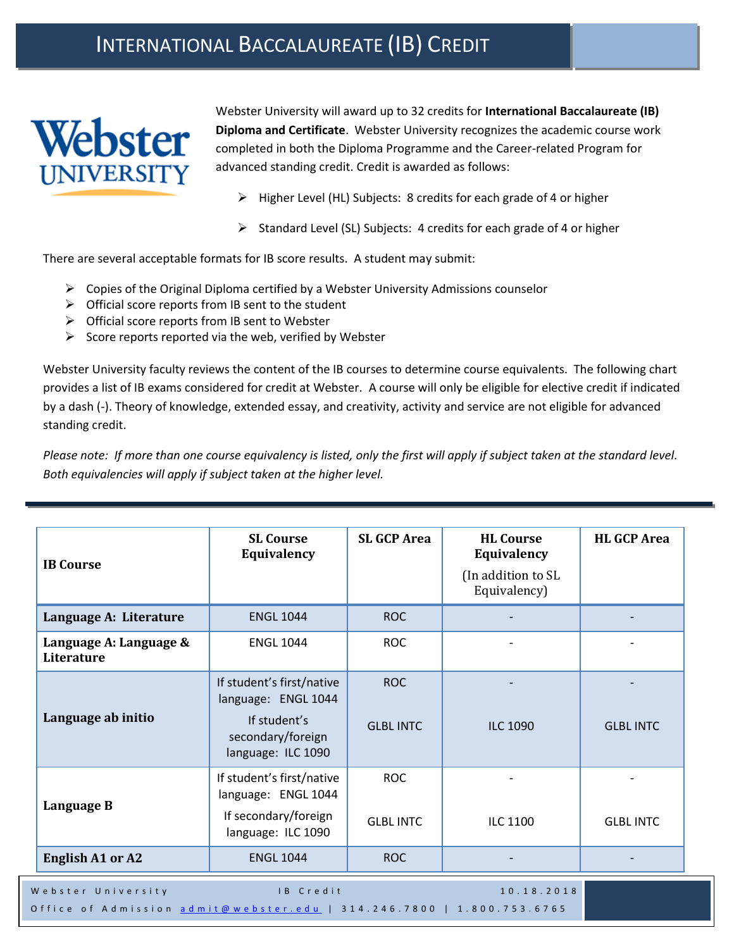## INTERNATIONAL BACCALAUREATE (IB) CREDIT



Webster University will award up to 32 credits for **International Baccalaureate (IB) Diploma and Certificate**. Webster University recognizes the academic course work completed in both the Diploma Programme and the Career-related Program for advanced standing credit. Credit is awarded as follows:

- $\triangleright$  Higher Level (HL) Subjects: 8 credits for each grade of 4 or higher
- $\triangleright$  Standard Level (SL) Subjects: 4 credits for each grade of 4 or higher

There are several acceptable formats for IB score results. A student may submit:

- $\triangleright$  Copies of the Original Diploma certified by a Webster University Admissions counselor
- $\triangleright$  Official score reports from IB sent to the student
- $\triangleright$  Official score reports from IB sent to Webster
- $\triangleright$  Score reports reported via the web, verified by Webster

Webster University faculty reviews the content of the IB courses to determine course equivalents. The following chart provides a list of IB exams considered for credit at Webster. A course will only be eligible for elective credit if indicated by a dash (-). Theory of knowledge, extended essay, and creativity, activity and service are not eligible for advanced standing credit.

*Please note: If more than one course equivalency is listed, only the first will apply if subject taken at the standard level. Both equivalencies will apply if subject taken at the higher level.*

| <b>IB</b> Course                                                                                                       | <b>SL Course</b><br>Equivalency                                                                             | <b>SL GCP Area</b>             | <b>HL Course</b><br>Equivalency<br>(In addition to SL<br>Equivalency) | <b>HL GCP Area</b> |
|------------------------------------------------------------------------------------------------------------------------|-------------------------------------------------------------------------------------------------------------|--------------------------------|-----------------------------------------------------------------------|--------------------|
| Language A: Literature                                                                                                 | <b>ENGL 1044</b>                                                                                            | <b>ROC</b>                     |                                                                       |                    |
| Language A: Language &<br>Literature                                                                                   | <b>ENGL 1044</b>                                                                                            | <b>ROC</b>                     |                                                                       |                    |
| Language ab initio                                                                                                     | If student's first/native<br>language: ENGL 1044<br>If student's<br>secondary/foreign<br>language: ILC 1090 | <b>ROC</b><br><b>GLBL INTC</b> | <b>ILC 1090</b>                                                       | <b>GLBL INTC</b>   |
| Language B                                                                                                             | If student's first/native<br>language: ENGL 1044<br>If secondary/foreign<br>language: ILC 1090              | <b>ROC</b><br><b>GLBL INTC</b> | ILC 1100                                                              | <b>GLBL INTC</b>   |
| <b>English A1 or A2</b>                                                                                                | <b>ENGL 1044</b>                                                                                            | <b>ROC</b>                     |                                                                       |                    |
| Webster University<br>IB Credit<br>10.18.2018<br>Office of Admission admit@webster.edu   314.246.7800   1.800.753.6765 |                                                                                                             |                                |                                                                       |                    |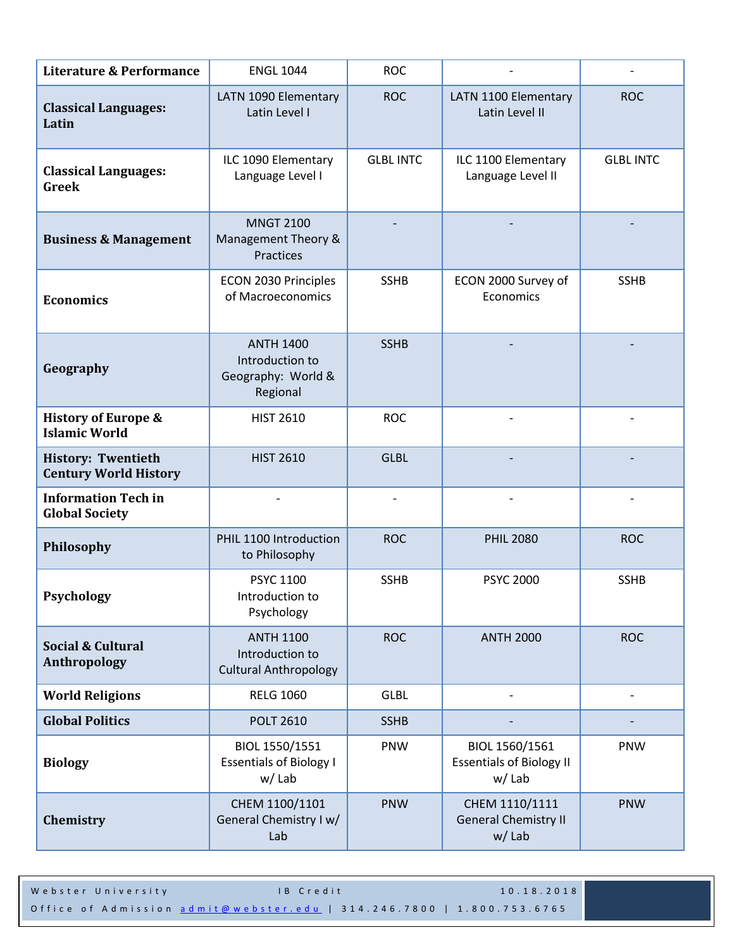| <b>Literature &amp; Performance</b>                       | <b>ENGL 1044</b>                                                      | <b>ROC</b>               |                                                                |                  |
|-----------------------------------------------------------|-----------------------------------------------------------------------|--------------------------|----------------------------------------------------------------|------------------|
| <b>Classical Languages:</b><br>Latin                      | LATN 1090 Elementary<br>Latin Level I                                 | <b>ROC</b>               | LATN 1100 Elementary<br>Latin Level II                         | <b>ROC</b>       |
| <b>Classical Languages:</b><br><b>Greek</b>               | ILC 1090 Elementary<br>Language Level I                               | <b>GLBL INTC</b>         | ILC 1100 Elementary<br>Language Level II                       | <b>GLBL INTC</b> |
| <b>Business &amp; Management</b>                          | <b>MNGT 2100</b><br>Management Theory &<br>Practices                  |                          |                                                                |                  |
| <b>Economics</b>                                          | ECON 2030 Principles<br>of Macroeconomics                             | <b>SSHB</b>              | ECON 2000 Survey of<br>Economics                               | <b>SSHB</b>      |
| Geography                                                 | <b>ANTH 1400</b><br>Introduction to<br>Geography: World &<br>Regional | <b>SSHB</b>              |                                                                |                  |
| <b>History of Europe &amp;</b><br><b>Islamic World</b>    | <b>HIST 2610</b>                                                      | <b>ROC</b>               |                                                                |                  |
| <b>History: Twentieth</b><br><b>Century World History</b> | <b>HIST 2610</b>                                                      | <b>GLBL</b>              |                                                                |                  |
| <b>Information Tech in</b><br><b>Global Society</b>       |                                                                       | $\overline{\phantom{a}}$ |                                                                |                  |
| Philosophy                                                | PHIL 1100 Introduction<br>to Philosophy                               | <b>ROC</b>               | <b>PHIL 2080</b>                                               | <b>ROC</b>       |
| Psychology                                                | <b>PSYC 1100</b><br>Introduction to<br>Psychology                     | <b>SSHB</b>              | <b>PSYC 2000</b>                                               | <b>SSHB</b>      |
| Social & Cultural<br>Anthropology                         | <b>ANTH 1100</b><br>Introduction to<br><b>Cultural Anthropology</b>   | <b>ROC</b>               | <b>ANTH 2000</b>                                               | <b>ROC</b>       |
| <b>World Religions</b>                                    | <b>RELG 1060</b>                                                      | <b>GLBL</b>              |                                                                |                  |
| <b>Global Politics</b>                                    | <b>POLT 2610</b>                                                      | <b>SSHB</b>              |                                                                |                  |
| <b>Biology</b>                                            | BIOL 1550/1551<br><b>Essentials of Biology I</b><br>$w /$ Lab         | PNW                      | BIOL 1560/1561<br><b>Essentials of Biology II</b><br>$w /$ Lab | PNW              |
| Chemistry                                                 | CHEM 1100/1101<br>General Chemistry I w/<br>Lab                       | <b>PNW</b>               | CHEM 1110/1111<br><b>General Chemistry II</b><br>$w /$ Lab     | <b>PNW</b>       |